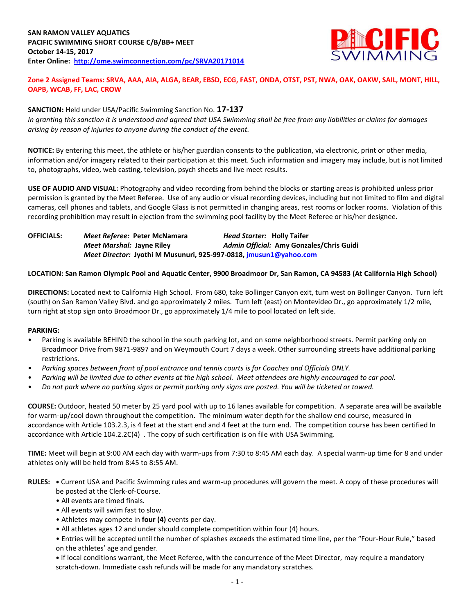

## **Zone 2 Assigned Teams: SRVA, AAA, AIA, ALGA, BEAR, EBSD, ECG, FAST, ONDA, OTST, PST, NWA, OAK, OAKW, SAIL, MONT, HILL, OAPB, WCAB, FF, LAC, CROW**

## **SANCTION:** Held under USA/Pacific Swimming Sanction No. **17-137**

*In granting this sanction it is understood and agreed that USA Swimming shall be free from any liabilities or claims for damages arising by reason of injuries to anyone during the conduct of the event.*

**NOTICE:** By entering this meet, the athlete or his/her guardian consents to the publication, via electronic, print or other media, information and/or imagery related to their participation at this meet. Such information and imagery may include, but is not limited to, photographs, video, web casting, television, psych sheets and live meet results.

**USE OF AUDIO AND VISUAL:** Photography and video recording from behind the blocks or starting areas is prohibited unless prior permission is granted by the Meet Referee. Use of any audio or visual recording devices, including but not limited to film and digital cameras, cell phones and tablets, and Google Glass is not permitted in changing areas, rest rooms or locker rooms. Violation of this recording prohibition may result in ejection from the swimming pool facility by the Meet Referee or his/her designee.

**OFFICIALS:** *Meet Referee:* **Peter McNamara** *Head Starter:* **Holly Taifer** *Meet Marshal:* **Jayne Riley** *Admin Official:* **Amy Gonzales/Chris Guidi** *Meet Director:* **Jyothi M Musunuri, 925-997-0818, [jmusun1@yahoo.com](mailto:jmusun1@yahoo.com)**

## **LOCATION: San Ramon Olympic Pool and Aquatic Center, 9900 Broadmoor Dr, San Ramon, CA 94583 (At California High School)**

**DIRECTIONS:** Located next to California High School. From 680, take Bollinger Canyon exit, turn west on Bollinger Canyon. Turn left (south) on San Ramon Valley Blvd. and go approximately 2 miles. Turn left (east) on Montevideo Dr., go approximately 1/2 mile, turn right at stop sign onto Broadmoor Dr., go approximately 1/4 mile to pool located on left side.

#### **PARKING:**

- Parking is available BEHIND the school in the south parking lot, and on some neighborhood streets. Permit parking only on Broadmoor Drive from 9871-9897 and on Weymouth Court 7 days a week. Other surrounding streets have additional parking restrictions.
- *Parking spaces between front of pool entrance and tennis courts is for Coaches and Officials ONLY.*
- *Parking will be limited due to other events at the high school. Meet attendees are highly encouraged to car pool.*
- *Do not park where no parking signs or permit parking only signs are posted. You will be ticketed or towed.*

**COURSE:** Outdoor, heated 50 meter by 25 yard pool with up to 16 lanes available for competition. A separate area will be available for warm-up/cool down throughout the competition. The minimum water depth for the shallow end course, measured in accordance with Article 103.2.3, is 4 feet at the start end and 4 feet at the turn end. The competition course has been certified In accordance with Article 104.2.2C(4) . The copy of such certification is on file with USA Swimming.

**TIME:** Meet will begin at 9:00 AM each day with warm-ups from 7:30 to 8:45 AM each day. A special warm-up time for 8 and under athletes only will be held from 8:45 to 8:55 AM.

- **RULES: •** Current USA and Pacific Swimming rules and warm-up procedures will govern the meet. A copy of these procedures will be posted at the Clerk-of-Course.
	- All events are timed finals.
	- All events will swim fast to slow.
	- Athletes may compete in **four (4)** events per day.
	- All athletes ages 12 and under should complete competition within four (4) hours.

• Entries will be accepted until the number of splashes exceeds the estimated time line, per the "Four-Hour Rule," based on the athletes' age and gender.

**•** If local conditions warrant, the Meet Referee, with the concurrence of the Meet Director, may require a mandatory scratch-down. Immediate cash refunds will be made for any mandatory scratches.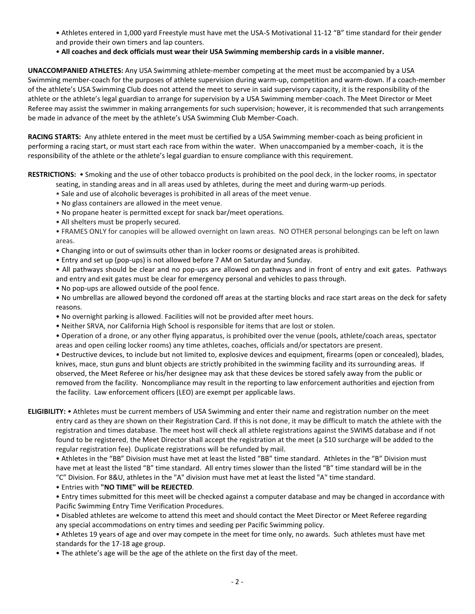- Athletes entered in 1,000 yard Freestyle must have met the USA-S Motivational 11-12 "B" time standard for their gender and provide their own timers and lap counters.
- **All coaches and deck officials must wear their USA Swimming membership cards in a visible manner.**

**UNACCOMPANIED ATHLETES:** Any USA Swimming athlete-member competing at the meet must be accompanied by a USA Swimming member-coach for the purposes of athlete supervision during warm-up, competition and warm-down. If a coach-member of the athlete's USA Swimming Club does not attend the meet to serve in said supervisory capacity, it is the responsibility of the athlete or the athlete's legal guardian to arrange for supervision by a USA Swimming member-coach. The Meet Director or Meet Referee may assist the swimmer in making arrangements for such supervision; however, it is recommended that such arrangements be made in advance of the meet by the athlete's USA Swimming Club Member-Coach.

**RACING STARTS:** Any athlete entered in the meet must be certified by a USA Swimming member-coach as being proficient in performing a racing start, or must start each race from within the water. When unaccompanied by a member-coach, it is the responsibility of the athlete or the athlete's legal guardian to ensure compliance with this requirement.

**RESTRICTIONS:** • Smoking and the use of other tobacco products is prohibited on the pool deck, in the locker rooms, in spectator seating, in standing areas and in all areas used by athletes, during the meet and during warm-up periods.

- Sale and use of alcoholic beverages is prohibited in all areas of the meet venue.
- No glass containers are allowed in the meet venue.
- No propane heater is permitted except for snack bar/meet operations.
- All shelters must be properly secured.

• FRAMES ONLY for canopies will be allowed overnight on lawn areas. NO OTHER personal belongings can be left on lawn areas.

- Changing into or out of swimsuits other than in locker rooms or designated areas is prohibited.
- Entry and set up (pop-ups) is not allowed before 7 AM on Saturday and Sunday.

• All pathways should be clear and no pop-ups are allowed on pathways and in front of entry and exit gates. Pathways and entry and exit gates must be clear for emergency personal and vehicles to pass through.

• No pop-ups are allowed outside of the pool fence.

• No umbrellas are allowed beyond the cordoned off areas at the starting blocks and race start areas on the deck for safety reasons.

- No overnight parking is allowed. Facilities will not be provided after meet hours.
- Neither SRVA, nor California High School is responsible for items that are lost or stolen.

• Operation of a drone, or any other flying apparatus, is prohibited over the venue (pools, athlete/coach areas, spectator areas and open ceiling locker rooms) any time athletes, coaches, officials and/or spectators are present.

• Destructive devices, to include but not limited to, explosive devices and equipment, firearms (open or concealed), blades, knives, mace, stun guns and blunt objects are strictly prohibited in the swimming facility and its surrounding areas. If observed, the Meet Referee or his/her designee may ask that these devices be stored safely away from the public or removed from the facility. Noncompliance may result in the reporting to law enforcement authorities and ejection from the facility. Law enforcement officers (LEO) are exempt per applicable laws.

**ELIGIBILITY:** • Athletes must be current members of USA Swimming and enter their name and registration number on the meet entry card as they are shown on their Registration Card. If this is not done, it may be difficult to match the athlete with the registration and times database. The meet host will check all athlete registrations against the SWIMS database and if not found to be registered, the Meet Director shall accept the registration at the meet (a \$10 surcharge will be added to the regular registration fee). Duplicate registrations will be refunded by mail.

• Athletes in the "BB" Division must have met at least the listed "BB" time standard. Athletes in the "B" Division must have met at least the listed "B" time standard. All entry times slower than the listed "B" time standard will be in the "C" Division. For 8&U, athletes in the "A" division must have met at least the listed "A" time standard.

• Entries with **"NO TIME" will be REJECTED**.

• Entry times submitted for this meet will be checked against a computer database and may be changed in accordance with Pacific Swimming Entry Time Verification Procedures.

• Disabled athletes are welcome to attend this meet and should contact the Meet Director or Meet Referee regarding any special accommodations on entry times and seeding per Pacific Swimming policy.

• Athletes 19 years of age and over may compete in the meet for time only, no awards. Such athletes must have met standards for the 17-18 age group.

• The athlete's age will be the age of the athlete on the first day of the meet.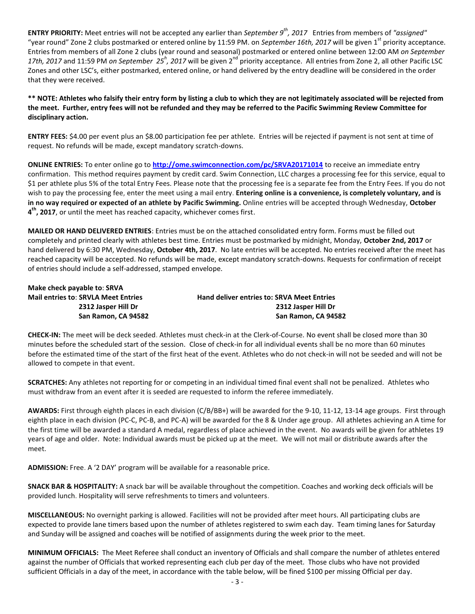**ENTRY PRIORITY:** Meet entries will not be accepted any earlier than *September 9th, 2017* Entries from members of *"assigned"*  "year round" Zone 2 clubs postmarked or entered online by 11:59 PM. on *September 16th, 2017* will be given 1<sup>st</sup> priority acceptance. Entries from members of all Zone 2 clubs (year round and seasonal) postmarked or entered online between 12:00 AM *on September* 17th, 2017 and 11:59 PM *on September 25<sup>h</sup>*, 2017 will be given 2<sup>nd</sup> priority acceptance. All entries from Zone 2, all other Pacific LSC Zones and other LSC's, either postmarked, entered online, or hand delivered by the entry deadline will be considered in the order that they were received.

**\*\* NOTE: Athletes who falsify their entry form by listing a club to which they are not legitimately associated will be rejected from the meet. Further, entry fees will not be refunded and they may be referred to the Pacific Swimming Review Committee for disciplinary action.**

**ENTRY FEES:** \$4.00 per event plus an \$8.00 participation fee per athlete. Entries will be rejected if payment is not sent at time of request. No refunds will be made, except mandatory scratch-downs.

**ONLINE ENTRIES:** To enter online go to **<http://ome.swimconnection.com/pc/SRVA20171014>** to receive an immediate entry confirmation. This method requires payment by credit card. Swim Connection, LLC charges a processing fee for this service, equal to \$1 per athlete plus 5% of the total Entry Fees. Please note that the processing fee is a separate fee from the Entry Fees. If you do not wish to pay the processing fee, enter the meet using a mail entry. **Entering online is a convenience, is completely voluntary, and is in no way required or expected of an athlete by Pacific Swimming.** Online entries will be accepted through Wednesday, **October 4 th, 2017**, or until the meet has reached capacity, whichever comes first.

**MAILED OR HAND DELIVERED ENTRIES**: Entries must be on the attached consolidated entry form. Forms must be filled out completely and printed clearly with athletes best time. Entries must be postmarked by midnight, Monday, **October 2nd, 2017** or hand delivered by 6:30 PM, Wednesday, **October 4th, 2017**. No late entries will be accepted. No entries received after the meet has reached capacity will be accepted. No refunds will be made, except mandatory scratch-downs. Requests for confirmation of receipt of entries should include a self-addressed, stamped envelope.

**Make check payable to**: **SRVA**

**Mail entries to**: **SRVLA Meet Entries Hand deliver entries to: SRVA Meet Entries 2312 Jasper Hill Dr 2312 Jasper Hill Dr San Ramon, CA 94582 San Ramon, CA 94582**

**CHECK-IN:** The meet will be deck seeded. Athletes must check-in at the Clerk-of-Course. No event shall be closed more than 30 minutes before the scheduled start of the session. Close of check-in for all individual events shall be no more than 60 minutes before the estimated time of the start of the first heat of the event. Athletes who do not check-in will not be seeded and will not be allowed to compete in that event.

**SCRATCHES:** Any athletes not reporting for or competing in an individual timed final event shall not be penalized. Athletes who must withdraw from an event after it is seeded are requested to inform the referee immediately.

**AWARDS:** First through eighth places in each division (C/B/BB+) will be awarded for the 9-10, 11-12, 13-14 age groups. First through eighth place in each division (PC-C, PC-B, and PC-A) will be awarded for the 8 & Under age group. All athletes achieving an A time for the first time will be awarded a standard A medal, regardless of place achieved in the event. No awards will be given for athletes 19 years of age and older. Note: Individual awards must be picked up at the meet. We will not mail or distribute awards after the meet.

**ADMISSION:** Free. A '2 DAY' program will be available for a reasonable price.

**SNACK BAR & HOSPITALITY:** A snack bar will be available throughout the competition. Coaches and working deck officials will be provided lunch. Hospitality will serve refreshments to timers and volunteers.

**MISCELLANEOUS:** No overnight parking is allowed. Facilities will not be provided after meet hours. All participating clubs are expected to provide lane timers based upon the number of athletes registered to swim each day. Team timing lanes for Saturday and Sunday will be assigned and coaches will be notified of assignments during the week prior to the meet.

**MINIMUM OFFICIALS:** The Meet Referee shall conduct an inventory of Officials and shall compare the number of athletes entered against the number of Officials that worked representing each club per day of the meet. Those clubs who have not provided sufficient Officials in a day of the meet, in accordance with the table below, will be fined \$100 per missing Official per day.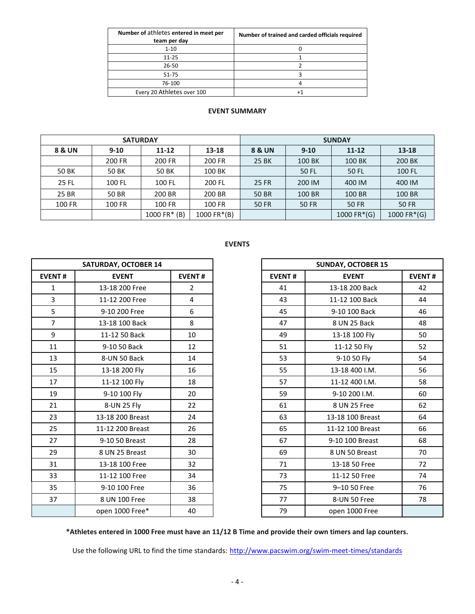| Number of athletes entered in meet per<br>team per day | Number of trained and carded officials required |
|--------------------------------------------------------|-------------------------------------------------|
| $1 - 10$                                               |                                                 |
| $11 - 25$                                              |                                                 |
| 26-50                                                  |                                                 |
| $51 - 75$                                              |                                                 |
| 76-100                                                 |                                                 |
| Every 20 Athletes over 100                             |                                                 |

### **EVENT SUMMARY**

| <b>SATURDAY</b> |              |                  |             | <b>SUNDAY</b>     |          |             |              |  |  |
|-----------------|--------------|------------------|-------------|-------------------|----------|-------------|--------------|--|--|
| 8 & UN          | $9 - 10$     | $11 - 12$        | 13-18       | <b>8 &amp; UN</b> | $9 - 10$ | $11 - 12$   | 13-18        |  |  |
|                 | 200 FR       | 200 FR<br>200 FR |             | 25 BK             | 100 BK   | 100 BK      | 200 BK       |  |  |
| 50 BK           | <b>50 BK</b> | <b>50 BK</b>     | 100 BK      |                   | 50 FL    | 50 FL       | 100 FL       |  |  |
| 25 FL           | 100 FL       | 100 FL           | 200 FL      | 25 FR             | 200 IM   | 400 IM      | 400 IM       |  |  |
| 25 BR           | 50 BR        | 200 BR           | 200 BR      | <b>50 BR</b>      | 100 BR   | 100 BR      | 100 BR       |  |  |
| 100 FR          | 100 FR       | 100 FR           | 100 FR      | <b>50 FR</b>      | 50 FR    | 50 FR       | <b>50 FR</b> |  |  |
|                 |              | 1000 FR $*$ (B)  | 1000 FR*(B) |                   |          | 1000 FR*(G) | 1000 FR*(G)  |  |  |

|                | <b>SATURDAY, OCTOBER 14</b> |                | <b>SUNDAY, OCTOBER 15</b> |                  |
|----------------|-----------------------------|----------------|---------------------------|------------------|
| <b>EVENT#</b>  | <b>EVENT</b>                | <b>EVENT#</b>  | <b>EVENT#</b>             | <b>EVENT</b>     |
| $\mathbf{1}$   | 13-18 200 Free              | $\overline{2}$ | 41                        | 13-18 200 Back   |
| 3              | 11-12 200 Free              | 4              | 43                        | 11-12 100 Back   |
| 5              | 9-10 200 Free               | 6              | 45                        | 9-10 100 Back    |
| $\overline{7}$ | 13-18 100 Back              | 8              | 47                        | 8 UN 25 Back     |
| 9              | 11-12 50 Back               | 10             | 49                        | 13-18 100 Fly    |
| 11             | 9-10 50 Back                | 12             | 51                        | 11-12 50 Fly     |
| 13             | 8-UN 50 Back                | 14             | 53                        | 9-10 50 Fly      |
| 15             | 13-18 200 Fly               | 16             | 55                        | 13-18 400 I.M.   |
| 17             | 11-12 100 Fly               | 18             | 57                        | 11-12 400 I.M.   |
| 19             | 9-10 100 Fly                | 20             | 59                        | 9-10 200 I.M.    |
| 21             | 8-UN 25 Fly                 | 22             | 61                        | 8 UN 25 Free     |
| 23             | 13-18 200 Breast            | 24             | 63                        | 13-18 100 Breast |
| 25             | 11-12 200 Breast            | 26             | 65                        | 11-12 100 Breast |
| 27             | 9-10 50 Breast              | 28             | 67                        | 9-10 100 Breast  |
| 29             | 8 UN 25 Breast              | 30             | 69                        | 8 UN 50 Breast   |
| 31             | 13-18 100 Free              | 32             | 71                        | 13-18 50 Free    |
| 33             | 11-12 100 Free              | 34             | 73                        | 11-12 50 Free    |
| 35             | 9-10 100 Free               | 36             | 75                        | 9-10 50 Free     |
| 37             | 8 UN 100 Free               | 38             | 77                        | 8-UN 50 Free     |
|                | open 1000 Free*             | 40             | 79                        | open 1000 Free   |

# **EVENTS**

|                | <b>SATURDAY, OCTOBER 14</b> |                |
|----------------|-----------------------------|----------------|
| <b>EVENT#</b>  | <b>EVENT</b>                | <b>EVENT#</b>  |
| $\mathbf{1}$   | 13-18 200 Free              | $\overline{2}$ |
| 3              | 11-12 200 Free              | 4              |
| 5              | 9-10 200 Free               | 6              |
| $\overline{7}$ | 13-18 100 Back              | 8              |
| 9              | 11-12 50 Back               | 10             |
| 11             | 9-10 50 Back                | 12             |
| 13             | 8-UN 50 Back                | 14             |
| 15             | 13-18 200 Fly               | 16             |
| 17             | 11-12 100 Fly               | 18             |
| 19             | 9-10 100 Fly                | 20             |
| 21             | 8-UN 25 Fly                 | 22             |
| 23             | 13-18 200 Breast            | 24             |
| 25             | 11-12 200 Breast            | 26             |
| 27             | 9-10 50 Breast              | 28             |
| 29             | 8 UN 25 Breast              | 30             |
| 31             | 13-18 100 Free              | 32             |
| 33             | 11-12 100 Free              | 34             |
| 35             | 9-10 100 Free               | 36             |
| 37             | 8 UN 100 Free               | 38             |
|                | open 1000 Free*             | 40             |

**\*Athletes entered in 1000 Free must have an 11/12 B Time and provide their own timers and lap counters.**

Use the following URL to find the time standards: <http://www.pacswim.org/swim-meet-times/standards>